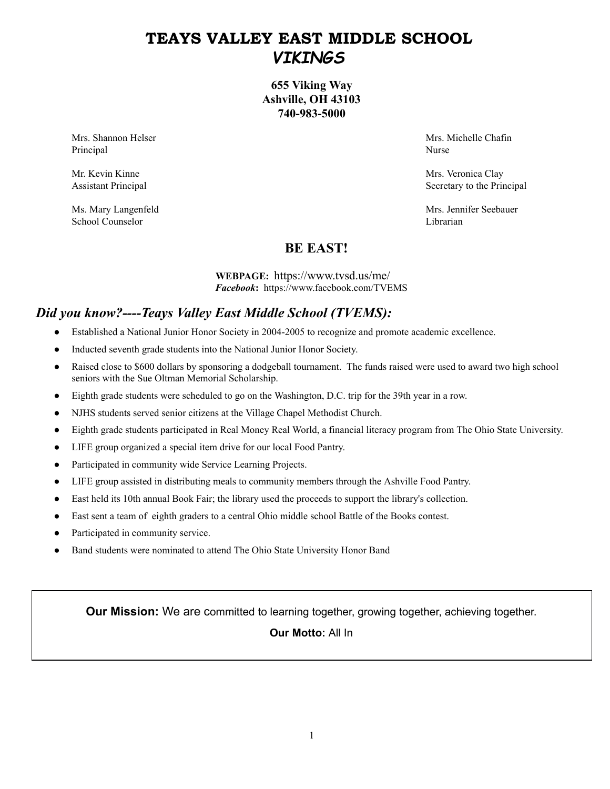# **TEAYS VALLEY EAST MIDDLE SCHOOL** *VIKINGS*

**655 Viking Way Ashville, OH 43103 740-983-5000** 

Principal Nurse

School Counselor Librarian

Mrs. Shannon Helser Mrs. Shannon Helser Mrs. Michelle Chafin

Mr. Kevin Kinne Mrs. Veronica Clay Assistant Principal Secretary to the Principal Secretary to the Principal Secretary to the Principal

Ms. Mary Langenfeld **Mrs. Jennifer Seebauer** Mrs. Jennifer Seebauer

# **BE EAST!**

**WEBPAGE:** https://www.tvsd.us/me/ *Facebook***:** https://www.facebook.com/TVEMS

# *Did you know?----Teays Valley East Middle School (TVEMS):*

- Established a National Junior Honor Society in 2004-2005 to recognize and promote academic excellence.
- Inducted seventh grade students into the National Junior Honor Society.
- Raised close to \$600 dollars by sponsoring a dodgeball tournament. The funds raised were used to award two high school seniors with the Sue Oltman Memorial Scholarship.
- Eighth grade students were scheduled to go on the Washington, D.C. trip for the 39th year in a row.
- NJHS students served senior citizens at the Village Chapel Methodist Church.
- Eighth grade students participated in Real Money Real World, a financial literacy program from The Ohio State University.
- LIFE group organized a special item drive for our local Food Pantry.
- Participated in community wide Service Learning Projects.
- LIFE group assisted in distributing meals to community members through the Ashville Food Pantry.
- East held its 10th annual Book Fair; the library used the proceeds to support the library's collection.
- East sent a team of eighth graders to a central Ohio middle school Battle of the Books contest.
- Participated in community service.
- Band students were nominated to attend The Ohio State University Honor Band

**Our Mission:** We are committed to learning together, growing together, achieving together.

# **Our Motto:** All In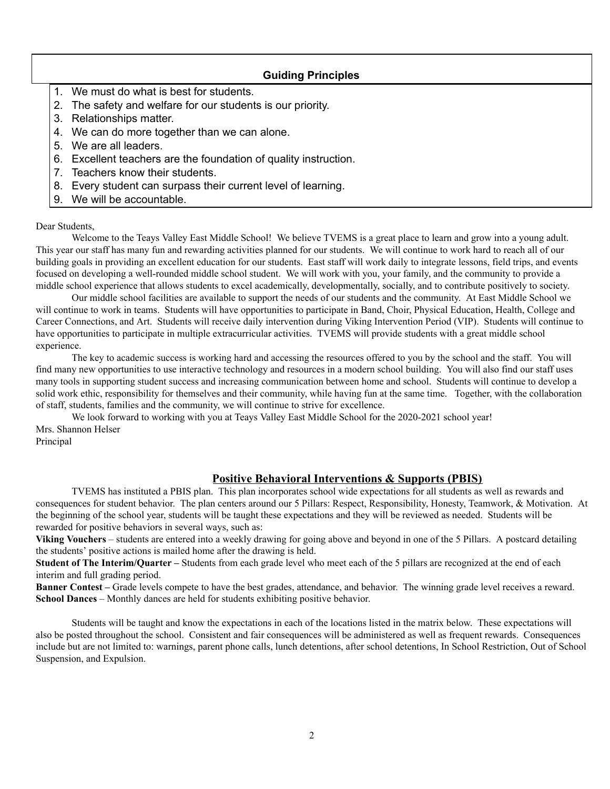# **Guiding Principles**

- 1. We must do what is best for students.
- 2. The safety and welfare for our students is our priority.
- 3. Relationships matter.
- 4. We can do more together than we can alone.
- 5. We are all leaders.
- 6. Excellent teachers are the foundation of quality instruction.
- 7. Teachers know their students.
- 8. Every student can surpass their current level of learning.
- 9. We will be accountable.

# Dear Students,

Welcome to the Teays Valley East Middle School! We believe TVEMS is a great place to learn and grow into a young adult. This year our staff has many fun and rewarding activities planned for our students. We will continue to work hard to reach all of our building goals in providing an excellent education for our students. East staff will work daily to integrate lessons, field trips, and events focused on developing a well-rounded middle school student. We will work with you, your family, and the community to provide a middle school experience that allows students to excel academically, developmentally, socially, and to contribute positively to society.

Our middle school facilities are available to support the needs of our students and the community. At East Middle School we will continue to work in teams. Students will have opportunities to participate in Band, Choir, Physical Education, Health, College and Career Connections, and Art. Students will receive daily intervention during Viking Intervention Period (VIP). Students will continue to have opportunities to participate in multiple extracurricular activities. TVEMS will provide students with a great middle school experience.

The key to academic success is working hard and accessing the resources offered to you by the school and the staff. You will find many new opportunities to use interactive technology and resources in a modern school building. You will also find our staff uses many tools in supporting student success and increasing communication between home and school. Students will continue to develop a solid work ethic, responsibility for themselves and their community, while having fun at the same time. Together, with the collaboration of staff, students, families and the community, we will continue to strive for excellence.

We look forward to working with you at Teays Valley East Middle School for the 2020-2021 school year! Mrs. Shannon Helser Principal

# **Positive Behavioral Interventions & Supports (PBIS)**

TVEMS has instituted a PBIS plan. This plan incorporates school wide expectations for all students as well as rewards and consequences for student behavior. The plan centers around our 5 Pillars: Respect, Responsibility, Honesty, Teamwork, & Motivation. At the beginning of the school year, students will be taught these expectations and they will be reviewed as needed. Students will be rewarded for positive behaviors in several ways, such as:

**Viking Vouchers** – students are entered into a weekly drawing for going above and beyond in one of the 5 Pillars. A postcard detailing the students' positive actions is mailed home after the drawing is held.

**Student of The Interim/Quarter –** Students from each grade level who meet each of the 5 pillars are recognized at the end of each interim and full grading period.

**Banner Contest –** Grade levels compete to have the best grades, attendance, and behavior. The winning grade level receives a reward. **School Dances** – Monthly dances are held for students exhibiting positive behavior.

Students will be taught and know the expectations in each of the locations listed in the matrix below. These expectations will also be posted throughout the school. Consistent and fair consequences will be administered as well as frequent rewards. Consequences include but are not limited to: warnings, parent phone calls, lunch detentions, after school detentions, In School Restriction, Out of School Suspension, and Expulsion.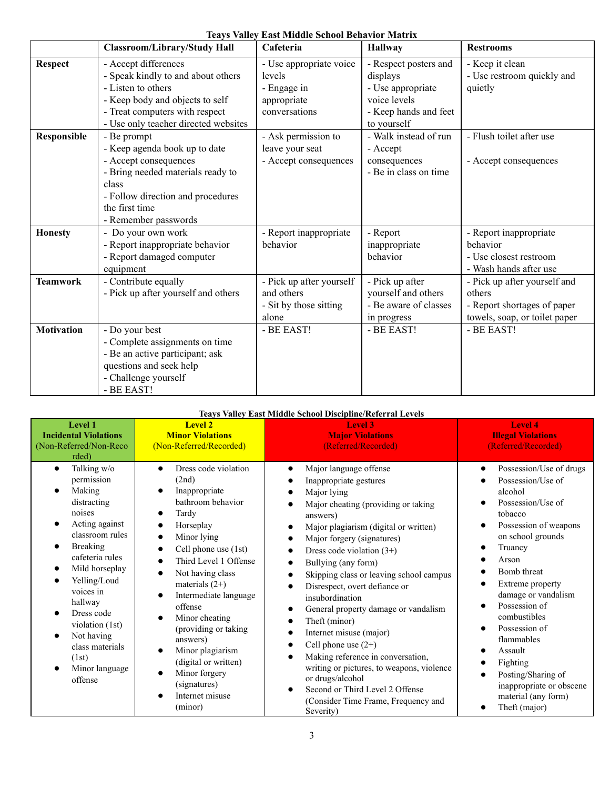|  |  |  |  |  | <b>Teays Valley East Middle School Behavior Matrix</b> |  |
|--|--|--|--|--|--------------------------------------------------------|--|
|--|--|--|--|--|--------------------------------------------------------|--|

|                   | <b>Classroom/Library/Study Hall</b>                                                                                                                                                                | Cafeteria                                                                        | <b>Hallway</b>                                                                                                 | <b>Restrooms</b>                                                                                       |
|-------------------|----------------------------------------------------------------------------------------------------------------------------------------------------------------------------------------------------|----------------------------------------------------------------------------------|----------------------------------------------------------------------------------------------------------------|--------------------------------------------------------------------------------------------------------|
| <b>Respect</b>    | - Accept differences<br>- Speak kindly to and about others<br>- Listen to others<br>- Keep body and objects to self<br>- Treat computers with respect<br>- Use only teacher directed websites      | - Use appropriate voice<br>levels<br>- Engage in<br>appropriate<br>conversations | - Respect posters and<br>displays<br>- Use appropriate<br>voice levels<br>- Keep hands and feet<br>to yourself | - Keep it clean<br>- Use restroom quickly and<br>quietly                                               |
| Responsible       | - Be prompt<br>- Keep agenda book up to date<br>- Accept consequences<br>- Bring needed materials ready to<br>class<br>- Follow direction and procedures<br>the first time<br>- Remember passwords | - Ask permission to<br>leave your seat<br>- Accept consequences                  | - Walk instead of run<br>- Accept<br>consequences<br>- Be in class on time                                     | - Flush toilet after use<br>- Accept consequences                                                      |
| <b>Honesty</b>    | - Do your own work<br>- Report inappropriate behavior<br>- Report damaged computer<br>equipment                                                                                                    | - Report inappropriate<br>behavior                                               | - Report<br>inappropriate<br>behavior                                                                          | - Report inappropriate<br>behavior<br>- Use closest restroom<br>- Wash hands after use                 |
| <b>Teamwork</b>   | - Contribute equally<br>- Pick up after yourself and others                                                                                                                                        | - Pick up after yourself<br>and others<br>- Sit by those sitting<br>alone        | - Pick up after<br>yourself and others<br>- Be aware of classes<br>in progress                                 | - Pick up after yourself and<br>others<br>- Report shortages of paper<br>towels, soap, or toilet paper |
| <b>Motivation</b> | - Do your best<br>- Complete assignments on time<br>- Be an active participant; ask<br>questions and seek help<br>- Challenge yourself<br>- BE EAST!                                               | - BE EAST!                                                                       | - BE EAST!                                                                                                     | - BE EAST!                                                                                             |

# **Teays Valley East Middle School Discipline/Referral Levels**

| <b>Level 1</b><br><b>Incidental Violations</b><br>(Non-Referred/Non-Reco<br>rded)                                                                                                                                                                                                                                                                                                                    | <b>Level 2</b><br><b>Minor Violations</b><br>(Non-Referred/Recorded)                                                                                                                                                                                                                                                                                                                                    | <b>Level 3</b><br><b>Major Violations</b><br>(Referred/Recorded)                                                                                                                                                                                                                                                                                                                                                                                                                                                                                                                                                                                                                                                                                                                                                                                            | <b>Level 4</b><br><b>Illegal Violations</b><br>(Referred/Recorded)                                                                                                                                                                                                                                                                                                                                   |
|------------------------------------------------------------------------------------------------------------------------------------------------------------------------------------------------------------------------------------------------------------------------------------------------------------------------------------------------------------------------------------------------------|---------------------------------------------------------------------------------------------------------------------------------------------------------------------------------------------------------------------------------------------------------------------------------------------------------------------------------------------------------------------------------------------------------|-------------------------------------------------------------------------------------------------------------------------------------------------------------------------------------------------------------------------------------------------------------------------------------------------------------------------------------------------------------------------------------------------------------------------------------------------------------------------------------------------------------------------------------------------------------------------------------------------------------------------------------------------------------------------------------------------------------------------------------------------------------------------------------------------------------------------------------------------------------|------------------------------------------------------------------------------------------------------------------------------------------------------------------------------------------------------------------------------------------------------------------------------------------------------------------------------------------------------------------------------------------------------|
| Talking w/o<br>$\bullet$<br>permission<br>Making<br>$\bullet$<br>distracting<br>noises<br>Acting against<br>$\bullet$<br>classroom rules<br><b>Breaking</b><br>$\bullet$<br>cafeteria rules<br>Mild horseplay<br>$\bullet$<br>Yelling/Loud<br>$\bullet$<br>voices in<br>hallway<br>Dress code<br>violation (1st)<br>Not having<br>$\bullet$<br>class materials<br>(1st)<br>Minor language<br>offense | Dress code violation<br>(2nd)<br>Inappropriate<br>bathroom behavior<br>Tardy<br>Horseplay<br>Minor lying<br>Cell phone use (1st)<br>Third Level 1 Offense<br>Not having class<br>materials $(2+)$<br>Intermediate language<br>offense<br>Minor cheating<br>(providing or taking)<br>answers)<br>Minor plagiarism<br>(digital or written)<br>Minor forgery<br>(signatures)<br>Internet misuse<br>(minor) | Major language offense<br>$\bullet$<br>Inappropriate gestures<br>Major lying<br>$\bullet$<br>Major cheating (providing or taking<br>$\bullet$<br>answers)<br>Major plagiarism (digital or written)<br>$\bullet$<br>Major forgery (signatures)<br>$\bullet$<br>Dress code violation $(3+)$<br>$\bullet$<br>Bullying (any form)<br>$\bullet$<br>Skipping class or leaving school campus<br>$\bullet$<br>Disrespect, overt defiance or<br>$\bullet$<br>insubordination<br>General property damage or vandalism<br>$\bullet$<br>Theft (minor)<br>$\bullet$<br>Internet misuse (major)<br>$\bullet$<br>Cell phone use $(2+)$<br>$\bullet$<br>Making reference in conversation,<br>$\bullet$<br>writing or pictures, to weapons, violence<br>or drugs/alcohol<br>Second or Third Level 2 Offense<br>$\bullet$<br>(Consider Time Frame, Frequency and<br>Severity) | Possession/Use of drugs<br>Possession/Use of<br>alcohol<br>Possession/Use of<br>tobacco<br>Possession of weapons<br>on school grounds<br>Truancy<br>Arson<br>Bomb threat<br>Extreme property<br>damage or vandalism<br>Possession of<br>combustibles<br>Possession of<br>flammables<br>Assault<br>Fighting<br>Posting/Sharing of<br>inappropriate or obscene<br>material (any form)<br>Theft (major) |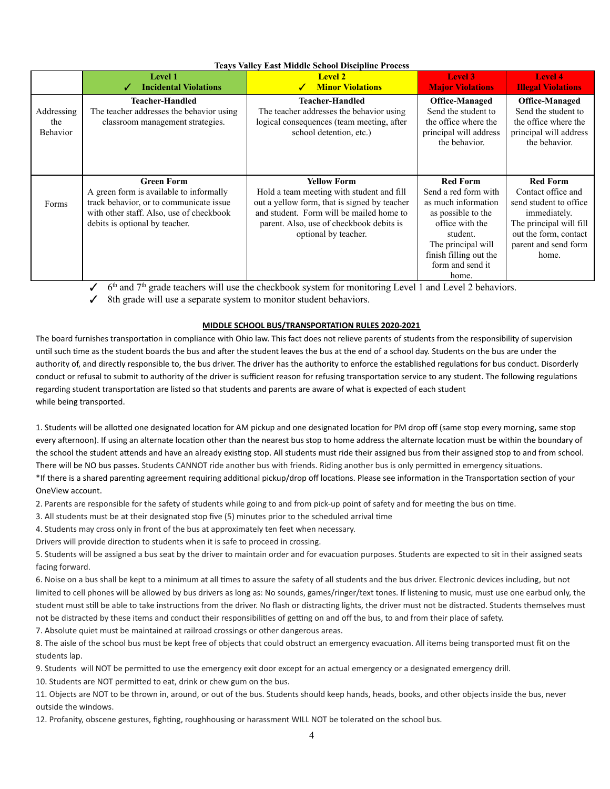# **Teays Valley East Middle School Discipline Process**

|                               | <b>Level 1</b><br><b>Incidental Violations</b>                                                                                                                                        | <b>Level 2</b><br><b>Minor Violations</b>                                                                                                                                                                                       | Level 3<br><b>Major Violations</b>                                                                                                                                                               | Level 4<br><b>Illegal Violations</b>                                                                                                                                 |
|-------------------------------|---------------------------------------------------------------------------------------------------------------------------------------------------------------------------------------|---------------------------------------------------------------------------------------------------------------------------------------------------------------------------------------------------------------------------------|--------------------------------------------------------------------------------------------------------------------------------------------------------------------------------------------------|----------------------------------------------------------------------------------------------------------------------------------------------------------------------|
| Addressing<br>the<br>Behavior | <b>Teacher-Handled</b><br>The teacher addresses the behavior using<br>classroom management strategies.                                                                                | Teacher-Handled<br>The teacher addresses the behavior using<br>logical consequences (team meeting, after<br>school detention, etc.)                                                                                             | <b>Office-Managed</b><br>Send the student to<br>the office where the<br>principal will address<br>the behavior.                                                                                  | <b>Office-Managed</b><br>Send the student to<br>the office where the<br>principal will address<br>the behavior.                                                      |
| Forms                         | <b>Green Form</b><br>A green form is available to informally<br>track behavior, or to communicate issue<br>with other staff. Also, use of checkbook<br>debits is optional by teacher. | <b>Yellow Form</b><br>Hold a team meeting with student and fill<br>out a yellow form, that is signed by teacher<br>and student. Form will be mailed home to<br>parent. Also, use of checkbook debits is<br>optional by teacher. | <b>Red Form</b><br>Send a red form with<br>as much information<br>as possible to the<br>office with the<br>student.<br>The principal will<br>finish filling out the<br>form and send it<br>home. | <b>Red Form</b><br>Contact office and<br>send student to office<br>immediately.<br>The principal will fill<br>out the form, contact<br>parent and send form<br>home. |

 $\checkmark$  6<sup>th</sup> and 7<sup>th</sup> grade teachers will use the checkbook system for monitoring Level 1 and Level 2 behaviors.

✓ 8th grade will use a separate system to monitor student behaviors.

# **MIDDLE SCHOOL BUS/TRANSPORTATION RULES 2020-2021**

The board furnishes transportation in compliance with Ohio law. This fact does not relieve parents of students from the responsibility of supervision until such time as the student boards the bus and after the student leaves the bus at the end of a school day. Students on the bus are under the authority of, and directly responsible to, the bus driver. The driver has the authority to enforce the established regulations for bus conduct. Disorderly conduct or refusal to submit to authority of the driver is sufficient reason for refusing transportation service to any student. The following regulations regarding student transportation are listed so that students and parents are aware of what is expected of each student while being transported.

1. Students will be allotted one designated location for AM pickup and one designated location for PM drop off (same stop every morning, same stop every afternoon). If using an alternate location other than the nearest bus stop to home address the alternate location must be within the boundary of the school the student attends and have an already existing stop. All students must ride their assigned bus from their assigned stop to and from school. There will be NO bus passes. Students CANNOT ride another bus with friends. Riding another bus is only permitted in emergency situations.

# \*If there is a shared parenting agreement requiring additional pickup/drop off locations. Please see information in the Transportation section of your OneView account.

2. Parents are responsible for the safety of students while going to and from pick-up point of safety and for meeting the bus on time.

3. All students must be at their designated stop five (5) minutes prior to the scheduled arrival time

4. Students may cross only in front of the bus at approximately ten feet when necessary.

Drivers will provide direction to students when it is safe to proceed in crossing.

5. Students will be assigned a bus seat by the driver to maintain order and for evacuation purposes. Students are expected to sit in their assigned seats facing forward.

6. Noise on a bus shall be kept to a minimum at all times to assure the safety of all students and the bus driver. Electronic devices including, but not limited to cell phones will be allowed by bus drivers as long as: No sounds, games/ringer/text tones. If listening to music, must use one earbud only, the student must still be able to take instructions from the driver. No flash or distracting lights, the driver must not be distracted. Students themselves must not be distracted by these items and conduct their responsibilities of getting on and off the bus, to and from their place of safety.

7. Absolute quiet must be maintained at railroad crossings or other dangerous areas.

8. The aisle of the school bus must be kept free of objects that could obstruct an emergency evacuation. All items being transported must fit on the students lap.

9. Students will NOT be permitted to use the emergency exit door except for an actual emergency or a designated emergency drill.

10. Students are NOT permitted to eat, drink or chew gum on the bus.

11. Objects are NOT to be thrown in, around, or out of the bus. Students should keep hands, heads, books, and other objects inside the bus, never outside the windows.

12. Profanity, obscene gestures, fighting, roughhousing or harassment WILL NOT be tolerated on the school bus.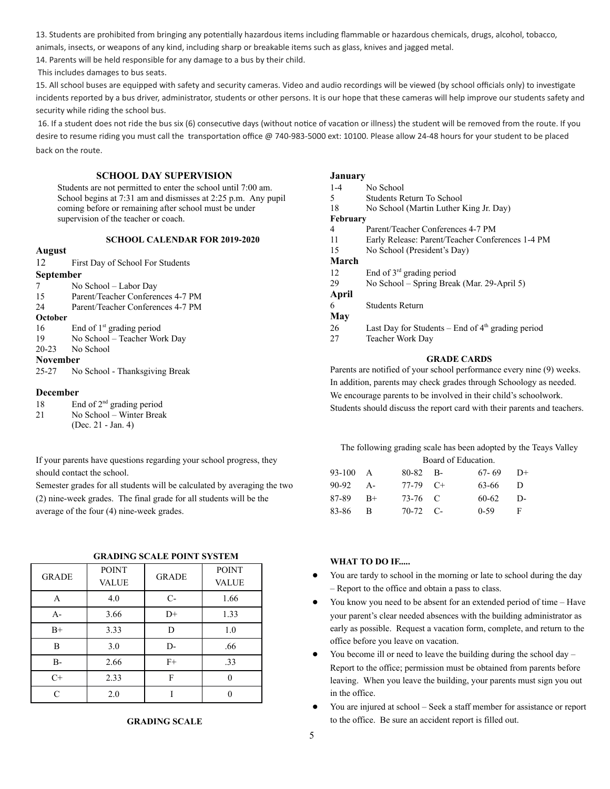13. Students are prohibited from bringing any potentially hazardous items including flammable or hazardous chemicals, drugs, alcohol, tobacco,

animals, insects, or weapons of any kind, including sharp or breakable items such as glass, knives and jagged metal.

14. Parents will be held responsible for any damage to a bus by their child.

This includes damages to bus seats.

15. All school buses are equipped with safety and security cameras. Video and audio recordings will be viewed (by school officials only) to investigate incidents reported by a bus driver, administrator, students or other persons. It is our hope that these cameras will help improve our students safety and security while riding the school bus.

16. If a student does not ride the bus six (6) consecutive days (without notice of vacation or illness) the student will be removed from the route. If you desire to resume riding you must call the transportation office @ 740-983-5000 ext: 10100. Please allow 24-48 hours for your student to be placed back on the route.

#### **SCHOOL DAY SUPERVISION**

Students are not permitted to enter the school until 7:00 am. School begins at 7:31 am and dismisses at 2:25 p.m. Any pupil coming before or remaining after school must be under supervision of the teacher or coach.

## **SCHOOL CALENDAR FOR 2019-2020**

#### **August**

12 First Day of School For Students

#### **September**

- 7 No School Labor Day
- 15 Parent/Teacher Conferences 4-7 PM
- 24 Parent/Teacher Conferences 4-7 PM

# **October**

- 16 End of  $1<sup>st</sup>$  grading period
- 19 No School Teacher Work Day
- 20-23 No School

# **November**

25-27 No School - Thanksgiving Break

#### **December**

- 18 End of  $2<sup>nd</sup>$  grading period
- 21 No School Winter Break
- (Dec. 21 Jan. 4)

If your parents have questions regarding your school progress, they should contact the school.

Semester grades for all students will be calculated by averaging the two (2) nine-week grades. The final grade for all students will be the average of the four (4) nine-week grades.

|      | <b>GRADING SCALE POINT SYSTEM</b> |                 |
|------|-----------------------------------|-----------------|
| ---- |                                   | <b>DOM: 100</b> |

| <b>GRADE</b> | <b>POINT</b> | <b>GRADE</b> | <b>POINT</b> |
|--------------|--------------|--------------|--------------|
|              | <b>VALUE</b> |              | <b>VALUE</b> |
| A            | 4.0          | $C-$         | 1.66         |
| $A-$         | 3.66         | $D+$         | 1.33         |
| $B+$         | 3.33         | D            | 1.0          |
| B            | 3.0          | $D-$         | .66          |
| <b>B-</b>    | 2.66         | $F+$         | .33          |
| $C+$         | 2.33         | F            |              |
| $\subset$    | 2.0          |              |              |

# **GRADING SCALE**

### **January**

| $1 - 4$         | No School                                           |
|-----------------|-----------------------------------------------------|
| 5               | Students Return To School                           |
| 18              | No School (Martin Luther King Jr. Day)              |
| <b>February</b> |                                                     |
| 4               | Parent/Teacher Conferences 4-7 PM                   |
| 11              | Early Release: Parent/Teacher Conferences 1-4 PM    |
| 15              | No School (President's Day)                         |
| March           |                                                     |
| 12              | End of $3rd$ grading period                         |
| 29              | No School – Spring Break (Mar. 29-April 5)          |
| April           |                                                     |
| 6               | Students Return                                     |
| May             |                                                     |
| 26              | Last Day for Students – End of $4th$ grading period |
| 27              | Teacher Work Day                                    |
|                 | <b>GRADE CARDS</b>                                  |

Parents are notified of your school performance every nine (9) weeks. In addition, parents may check grades through Schoology as needed. We encourage parents to be involved in their child's schoolwork. Students should discuss the report card with their parents and teachers.

The following grading scale has been adopted by the Teays Valley Board of Education.

| $93-100$ A | 80-82 B-   | $67-69$ D+ |  |
|------------|------------|------------|--|
| $90-92$ A- | $77-79$ C+ | $63-66$ D  |  |
| $87-89$ B+ | 73-76 C    | $60-62$ D- |  |
| 83-86 B    | $70-72$ C- | $0-59$ F   |  |

# **WHAT TO DO IF.....**

- You are tardy to school in the morning or late to school during the day – Report to the office and obtain a pass to class.
- You know you need to be absent for an extended period of time Have your parent's clear needed absences with the building administrator as early as possible. Request a vacation form, complete, and return to the office before you leave on vacation.
- You become ill or need to leave the building during the school day Report to the office; permission must be obtained from parents before leaving. When you leave the building, your parents must sign you out in the office.
- You are injured at school Seek a staff member for assistance or report to the office. Be sure an accident report is filled out.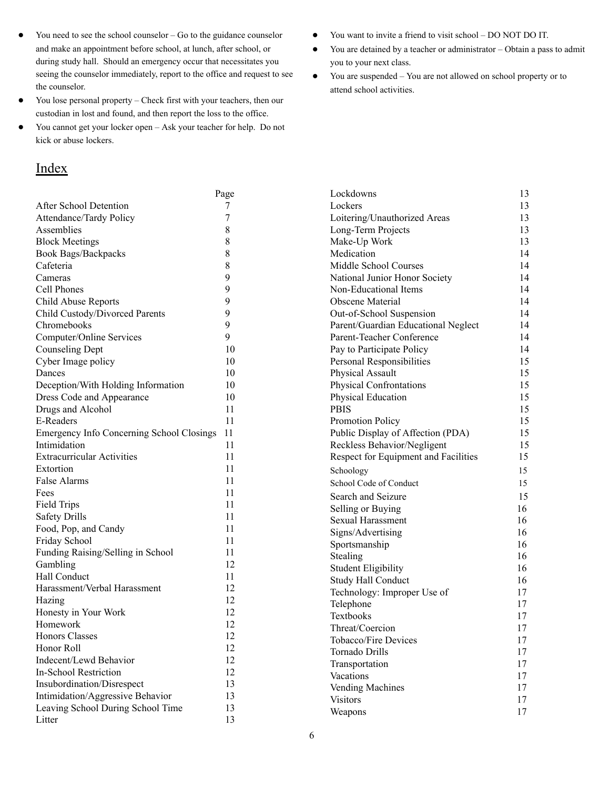- You need to see the school counselor Go to the guidance counselor and make an appointment before school, at lunch, after school, or during study hall. Should an emergency occur that necessitates you seeing the counselor immediately, report to the office and request to see the counselor.
- You lose personal property Check first with your teachers, then our custodian in lost and found, and then report the loss to the office.
- You cannot get your locker open Ask your teacher for help. Do not kick or abuse lockers.

# **Index**

- You want to invite a friend to visit school DO NOT DO IT.
- You are detained by a teacher or administrator Obtain a pass to admit you to your next class.
- You are suspended You are not allowed on school property or to attend school activities.

|                                           | Page | Lockdowns                            | 13 |
|-------------------------------------------|------|--------------------------------------|----|
| After School Detention                    | 7    | Lockers                              | 13 |
| Attendance/Tardy Policy                   | 7    | Loitering/Unauthorized Areas         | 13 |
| Assemblies                                | 8    | Long-Term Projects                   | 13 |
| <b>Block Meetings</b>                     | 8    | Make-Up Work                         | 13 |
| Book Bags/Backpacks                       | 8    | Medication                           | 14 |
| Cafeteria                                 | 8    | Middle School Courses                | 14 |
| Cameras                                   | 9    | National Junior Honor Society        | 14 |
| Cell Phones                               | 9    | Non-Educational Items                | 14 |
| Child Abuse Reports                       | 9    | Obscene Material                     | 14 |
| Child Custody/Divorced Parents            | 9    | Out-of-School Suspension             | 14 |
| Chromebooks                               | 9    | Parent/Guardian Educational Neglect  | 14 |
| Computer/Online Services                  | 9    | Parent-Teacher Conference            | 14 |
| <b>Counseling Dept</b>                    | 10   | Pay to Participate Policy            | 14 |
| Cyber Image policy                        | 10   | Personal Responsibilities            | 15 |
| Dances                                    | 10   | Physical Assault                     | 15 |
| Deception/With Holding Information        | 10   | Physical Confrontations              | 15 |
| Dress Code and Appearance                 | 10   | Physical Education                   | 15 |
| Drugs and Alcohol                         | 11   | <b>PBIS</b>                          | 15 |
| E-Readers                                 | 11   | Promotion Policy                     | 15 |
| Emergency Info Concerning School Closings | 11   | Public Display of Affection (PDA)    | 15 |
| Intimidation                              | 11   | Reckless Behavior/Negligent          | 15 |
| <b>Extracurricular Activities</b>         | 11   | Respect for Equipment and Facilities | 15 |
| Extortion                                 | 11   | Schoology                            | 15 |
| False Alarms                              | 11   | School Code of Conduct               | 15 |
| Fees                                      | 11   | Search and Seizure                   | 15 |
| Field Trips                               | 11   | Selling or Buying                    | 16 |
| <b>Safety Drills</b>                      | 11   | <b>Sexual Harassment</b>             | 16 |
| Food, Pop, and Candy                      | 11   | Signs/Advertising                    | 16 |
| Friday School                             | 11   | Sportsmanship                        | 16 |
| Funding Raising/Selling in School         | 11   | Stealing                             | 16 |
| Gambling                                  | 12   | <b>Student Eligibility</b>           | 16 |
| Hall Conduct                              | 11   | Study Hall Conduct                   | 16 |
| Harassment/Verbal Harassment              | 12   | Technology: Improper Use of          | 17 |
| Hazing                                    | 12   | Telephone                            | 17 |
| Honesty in Your Work                      | 12   | Textbooks                            | 17 |
| Homework                                  | 12   | Threat/Coercion                      | 17 |
| Honors Classes                            | 12   | Tobacco/Fire Devices                 | 17 |
| Honor Roll                                | 12   | Tornado Drills                       | 17 |
| Indecent/Lewd Behavior                    | 12   | Transportation                       | 17 |
| In-School Restriction                     | 12   | Vacations                            | 17 |
| Insubordination/Disrespect                | 13   | Vending Machines                     | 17 |
| Intimidation/Aggressive Behavior          | 13   | <b>Visitors</b>                      | 17 |
| Leaving School During School Time         | 13   | Weapons                              | 17 |
| Litter                                    | 13   |                                      |    |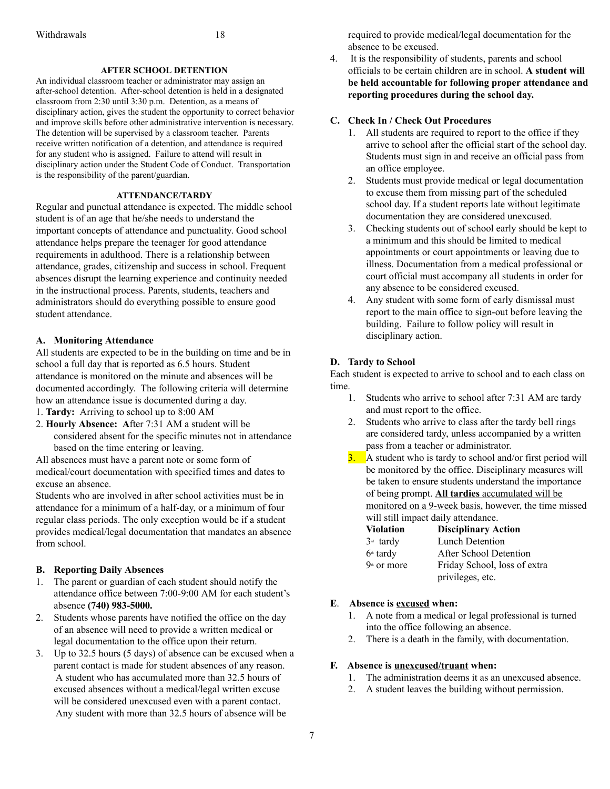# **AFTER SCHOOL DETENTION**

An individual classroom teacher or administrator may assign an after-school detention. After-school detention is held in a designated classroom from 2:30 until 3:30 p.m. Detention, as a means of disciplinary action, gives the student the opportunity to correct behavior and improve skills before other administrative intervention is necessary. The detention will be supervised by a classroom teacher. Parents receive written notification of a detention, and attendance is required for any student who is assigned. Failure to attend will result in disciplinary action under the Student Code of Conduct. Transportation is the responsibility of the parent/guardian.

# **ATTENDANCE/TARDY**

Regular and punctual attendance is expected. The middle school student is of an age that he/she needs to understand the important concepts of attendance and punctuality. Good school attendance helps prepare the teenager for good attendance requirements in adulthood. There is a relationship between attendance, grades, citizenship and success in school. Frequent absences disrupt the learning experience and continuity needed in the instructional process. Parents, students, teachers and administrators should do everything possible to ensure good student attendance.

# **A. Monitoring Attendance**

All students are expected to be in the building on time and be in school a full day that is reported as 6.5 hours. Student attendance is monitored on the minute and absences will be documented accordingly. The following criteria will determine how an attendance issue is documented during a day.

1. **Tardy:** Arriving to school up to 8:00 AM

2. **Hourly Absence: A**fter 7:31 AM a student will be considered absent for the specific minutes not in attendance based on the time entering or leaving.

All absences must have a parent note or some form of medical/court documentation with specified times and dates to excuse an absence.

Students who are involved in after school activities must be in attendance for a minimum of a half-day, or a minimum of four regular class periods. The only exception would be if a student provides medical/legal documentation that mandates an absence from school.

# **B. Reporting Daily Absences**

- 1. The parent or guardian of each student should notify the attendance office between 7:00-9:00 AM for each student's absence **(740) 983-5000.**
- 2. Students whose parents have notified the office on the day of an absence will need to provide a written medical or legal documentation to the office upon their return.
- 3. Up to 32.5 hours (5 days) of absence can be excused when a parent contact is made for student absences of any reason. A student who has accumulated more than 32.5 hours of excused absences without a medical/legal written excuse will be considered unexcused even with a parent contact. Any student with more than 32.5 hours of absence will be

required to provide medical/legal documentation for the absence to be excused.

4. It is the responsibility of students, parents and school officials to be certain children are in school. **A student will be held accountable for following proper attendance and reporting procedures during the school day.**

# **C. Check In / Check Out Procedures**

- 1. All students are required to report to the office if they arrive to school after the official start of the school day. Students must sign in and receive an official pass from an office employee.
- 2. Students must provide medical or legal documentation to excuse them from missing part of the scheduled school day. If a student reports late without legitimate documentation they are considered unexcused.
- 3. Checking students out of school early should be kept to a minimum and this should be limited to medical appointments or court appointments or leaving due to illness. Documentation from a medical professional or court official must accompany all students in order for any absence to be considered excused.
- 4. Any student with some form of early dismissal must report to the main office to sign-out before leaving the building. Failure to follow policy will result in disciplinary action.

# **D. Tardy to School**

Each student is expected to arrive to school and to each class on time.

- 1. Students who arrive to school after 7:31 AM are tardy and must report to the office.
- 2. Students who arrive to class after the tardy bell rings are considered tardy, unless accompanied by a written pass from a teacher or administrator.
- $\frac{3}{2}$ . A student who is tardy to school and/or first period will be monitored by the office. Disciplinary measures will be taken to ensure students understand the importance of being prompt. **All tardies** accumulated will be monitored on a 9-week basis, however, the time missed will still impact daily attendance.

| <b>Violation</b> | <b>Disciplinary Action</b>   |
|------------------|------------------------------|
| $3rd$ tardy      | Lunch Detention              |
| $6th$ tardy      | After School Detention       |
| $9th$ or more    | Friday School, loss of extra |
|                  | privileges, etc.             |

# **E**. **Absence is excused when:**

- 1. A note from a medical or legal professional is turned into the office following an absence.
- 2. There is a death in the family, with documentation.

# **F. Absence is unexcused/truant when:**

- 1. The administration deems it as an unexcused absence.
- 2. A student leaves the building without permission.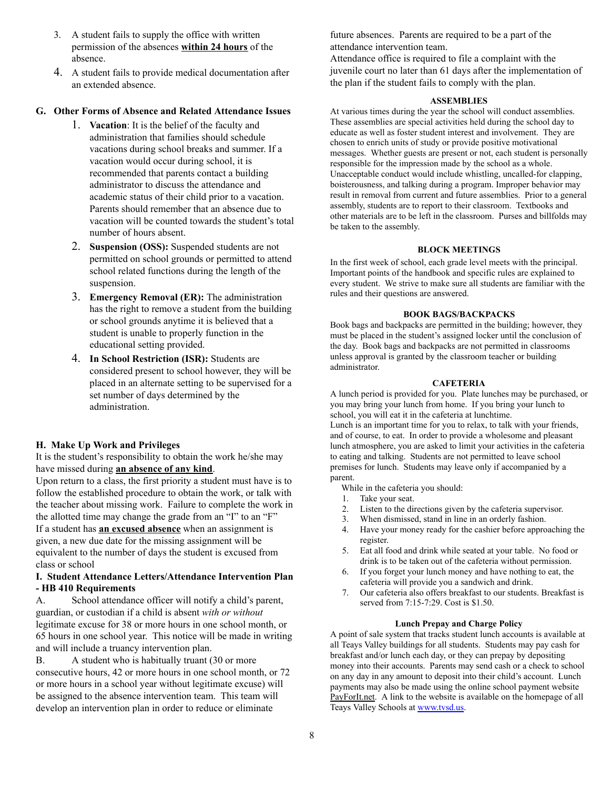- 3. A student fails to supply the office with written permission of the absences **within 24 hours** of the absence.
- 4. A student fails to provide medical documentation after an extended absence.

# **G. Other Forms of Absence and Related Attendance Issues**

- 1. **Vacation**: It is the belief of the faculty and administration that families should schedule vacations during school breaks and summer. If a vacation would occur during school, it is recommended that parents contact a building administrator to discuss the attendance and academic status of their child prior to a vacation. Parents should remember that an absence due to vacation will be counted towards the student's total number of hours absent.
- 2. **Suspension (OSS):** Suspended students are not permitted on school grounds or permitted to attend school related functions during the length of the suspension.
- 3. **Emergency Removal (ER):** The administration has the right to remove a student from the building or school grounds anytime it is believed that a student is unable to properly function in the educational setting provided.
- 4. **In School Restriction (ISR):** Students are considered present to school however, they will be placed in an alternate setting to be supervised for a set number of days determined by the administration.

# **H. Make Up Work and Privileges**

It is the student's responsibility to obtain the work he/she may have missed during **an absence of any kind**.

Upon return to a class, the first priority a student must have is to follow the established procedure to obtain the work, or talk with the teacher about missing work. Failure to complete the work in the allotted time may change the grade from an "I" to an "F" If a student has **an excused absence** when an assignment is given, a new due date for the missing assignment will be equivalent to the number of days the student is excused from class or school

# **I. Student Attendance Letters/Attendance Intervention Plan - HB 410 Requirements**

A. School attendance officer will notify a child's parent, guardian, or custodian if a child is absent *with or without* legitimate excuse for 38 or more hours in one school month, or 65 hours in one school year. This notice will be made in writing and will include a truancy intervention plan.

B. A student who is habitually truant (30 or more consecutive hours, 42 or more hours in one school month, or 72 or more hours in a school year without legitimate excuse) will be assigned to the absence intervention team. This team will develop an intervention plan in order to reduce or eliminate

future absences. Parents are required to be a part of the attendance intervention team.

Attendance office is required to file a complaint with the juvenile court no later than 61 days after the implementation of the plan if the student fails to comply with the plan.

# **ASSEMBLIES**

At various times during the year the school will conduct assemblies. These assemblies are special activities held during the school day to educate as well as foster student interest and involvement. They are chosen to enrich units of study or provide positive motivational messages. Whether guests are present or not, each student is personally responsible for the impression made by the school as a whole. Unacceptable conduct would include whistling, uncalled-for clapping, boisterousness, and talking during a program. Improper behavior may result in removal from current and future assemblies. Prior to a general assembly, students are to report to their classroom. Textbooks and other materials are to be left in the classroom. Purses and billfolds may be taken to the assembly.

#### **BLOCK MEETINGS**

In the first week of school, each grade level meets with the principal. Important points of the handbook and specific rules are explained to every student. We strive to make sure all students are familiar with the rules and their questions are answered.

# **BOOK BAGS/BACKPACKS**

Book bags and backpacks are permitted in the building; however, they must be placed in the student's assigned locker until the conclusion of the day. Book bags and backpacks are not permitted in classrooms unless approval is granted by the classroom teacher or building administrator.

#### **CAFETERIA**

A lunch period is provided for you. Plate lunches may be purchased, or you may bring your lunch from home. If you bring your lunch to school, you will eat it in the cafeteria at lunchtime.

Lunch is an important time for you to relax, to talk with your friends, and of course, to eat. In order to provide a wholesome and pleasant lunch atmosphere, you are asked to limit your activities in the cafeteria to eating and talking. Students are not permitted to leave school premises for lunch. Students may leave only if accompanied by a parent.

- While in the cafeteria you should:
- 1. Take your seat.
- 2. Listen to the directions given by the cafeteria supervisor.
- 3. When dismissed, stand in line in an orderly fashion.
- 4. Have your money ready for the cashier before approaching the register.
- 5. Eat all food and drink while seated at your table. No food or drink is to be taken out of the cafeteria without permission.
- 6. If you forget your lunch money and have nothing to eat, the cafeteria will provide you a sandwich and drink.
- 7. Our cafeteria also offers breakfast to our students. Breakfast is served from 7:15-7:29. Cost is \$1.50.

#### **Lunch Prepay and Charge Policy**

A point of sale system that tracks student lunch accounts is available at all Teays Valley buildings for all students. Students may pay cash for breakfast and/or lunch each day, or they can prepay by depositing money into their accounts. Parents may send cash or a check to school on any day in any amount to deposit into their child's account. Lunch payments may also be made using the online school payment website PayForIt.net. A link to the website is available on the homepage of all Teays Valley Schools at www.tvsd.us.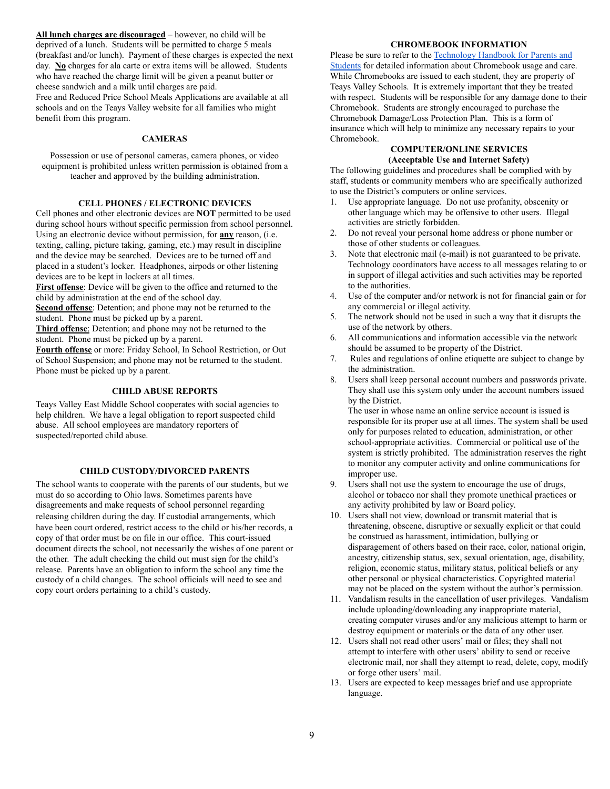**All lunch charges are discouraged** – however, no child will be deprived of a lunch. Students will be permitted to charge 5 meals (breakfast and/or lunch). Payment of these charges is expected the next day. **No** charges for ala carte or extra items will be allowed. Students who have reached the charge limit will be given a peanut butter or cheese sandwich and a milk until charges are paid. Free and Reduced Price School Meals Applications are available at all schools and on the Teays Valley website for all families who might

benefit from this program.

# **CAMERAS**

Possession or use of personal cameras, camera phones, or video equipment is prohibited unless written permission is obtained from a teacher and approved by the building administration.

# **CELL PHONES / ELECTRONIC DEVICES**

Cell phones and other electronic devices are **NOT** permitted to be used during school hours without specific permission from school personnel. Using an electronic device without permission, for **any** reason, (i.e. texting, calling, picture taking, gaming, etc.) may result in discipline and the device may be searched. Devices are to be turned off and placed in a student's locker. Headphones, airpods or other listening devices are to be kept in lockers at all times.

First offense: Device will be given to the office and returned to the child by administration at the end of the school day.

**<u>Second offense</u>**: Detention; and phone may not be returned to the student. Phone must be picked up by a parent.

Third offense: Detention; and phone may not be returned to the student. Phone must be picked up by a parent.

**Fourth offense** or more: Friday School, In School Restriction, or Out of School Suspension; and phone may not be returned to the student. Phone must be picked up by a parent.

# **CHILD ABUSE REPORTS**

Teays Valley East Middle School cooperates with social agencies to help children. We have a legal obligation to report suspected child abuse. All school employees are mandatory reporters of suspected/reported child abuse.

# **CHILD CUSTODY/DIVORCED PARENTS**

The school wants to cooperate with the parents of our students, but we must do so according to Ohio laws. Sometimes parents have disagreements and make requests of school personnel regarding releasing children during the day. If custodial arrangements, which have been court ordered, restrict access to the child or his/her records, a copy of that order must be on file in our office. This court-issued document directs the school, not necessarily the wishes of one parent or the other. The adult checking the child out must sign for the child's release. Parents have an obligation to inform the school any time the custody of a child changes. The school officials will need to see and copy court orders pertaining to a child's custody.

# **CHROMEBOOK INFORMATION**

Please be sure to refer to the Technology Handbook for Parents and Students for detailed information about Chromebook usage and care. While Chromebooks are issued to each student, they are property of Teays Valley Schools. It is extremely important that they be treated with respect. Students will be responsible for any damage done to their Chromebook. Students are strongly encouraged to purchase the Chromebook Damage/Loss Protection Plan. This is a form of insurance which will help to minimize any necessary repairs to your Chromebook.

#### **COMPUTER/ONLINE SERVICES (Acceptable Use and Internet Safety)**

The following guidelines and procedures shall be complied with by staff, students or community members who are specifically authorized to use the District's computers or online services.

- 1. Use appropriate language. Do not use profanity, obscenity or other language which may be offensive to other users. Illegal activities are strictly forbidden.
- 2. Do not reveal your personal home address or phone number or those of other students or colleagues.
- 3. Note that electronic mail (e-mail) is not guaranteed to be private. Technology coordinators have access to all messages relating to or in support of illegal activities and such activities may be reported to the authorities.
- 4. Use of the computer and/or network is not for financial gain or for any commercial or illegal activity.
- 5. The network should not be used in such a way that it disrupts the use of the network by others.
- 6. All communications and information accessible via the network should be assumed to be property of the District.
- 7. Rules and regulations of online etiquette are subject to change by the administration.
- 8. Users shall keep personal account numbers and passwords private. They shall use this system only under the account numbers issued by the District.

 The user in whose name an online service account is issued is responsible for its proper use at all times. The system shall be used only for purposes related to education, administration, or other school-appropriate activities. Commercial or political use of the system is strictly prohibited. The administration reserves the right to monitor any computer activity and online communications for improper use.

- 9. Users shall not use the system to encourage the use of drugs, alcohol or tobacco nor shall they promote unethical practices or any activity prohibited by law or Board policy.
- 10. Users shall not view, download or transmit material that is threatening, obscene, disruptive or sexually explicit or that could be construed as harassment, intimidation, bullying or disparagement of others based on their race, color, national origin, ancestry, citizenship status, sex, sexual orientation, age, disability, religion, economic status, military status, political beliefs or any other personal or physical characteristics. Copyrighted material may not be placed on the system without the author's permission.
- 11. Vandalism results in the cancellation of user privileges. Vandalism include uploading/downloading any inappropriate material, creating computer viruses and/or any malicious attempt to harm or destroy equipment or materials or the data of any other user.
- 12. Users shall not read other users' mail or files; they shall not attempt to interfere with other users' ability to send or receive electronic mail, nor shall they attempt to read, delete, copy, modify or forge other users' mail.
- 13. Users are expected to keep messages brief and use appropriate language.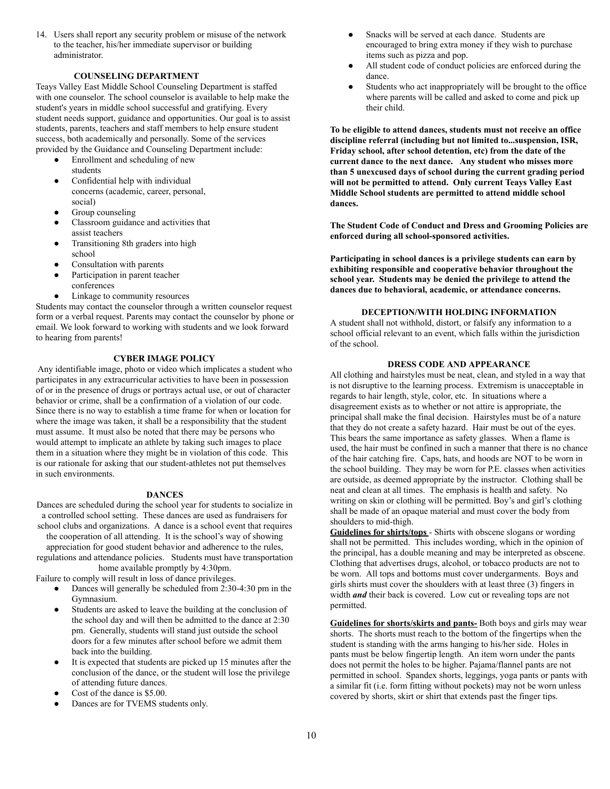14. Users shall report any security problem or misuse of the network to the teacher, his/her immediate supervisor or building administrator.

# **COUNSELING DEPARTMENT**

Teays Valley East Middle School Counseling Department is staffed with one counselor. The school counselor is available to help make the student's years in middle school successful and gratifying. Every student needs support, guidance and opportunities. Our goal is to assist students, parents, teachers and staff members to help ensure student success, both academically and personally. Some of the services provided by the Guidance and Counseling Department include:

- Enrollment and scheduling of new students
- Confidential help with individual concerns (academic, career, personal, social)
- Group counseling
- Classroom guidance and activities that assist teachers
- Transitioning 8th graders into high school
- Consultation with parents
- Participation in parent teacher conferences
- Linkage to community resources

Students may contact the counselor through a written counselor request form or a verbal request. Parents may contact the counselor by phone or email. We look forward to working with students and we look forward to hearing from parents!

# **CYBER IMAGE POLICY**

Any identifiable image, photo or video which implicates a student who participates in any extracurricular activities to have been in possession of or in the presence of drugs or portrays actual use, or out of character behavior or crime, shall be a confirmation of a violation of our code. Since there is no way to establish a time frame for when or location for where the image was taken, it shall be a responsibility that the student must assume. It must also be noted that there may be persons who would attempt to implicate an athlete by taking such images to place them in a situation where they might be in violation of this code. This is our rationale for asking that our student-athletes not put themselves in such environments.

#### **DANCES**

Dances are scheduled during the school year for students to socialize in a controlled school setting. These dances are used as fundraisers for school clubs and organizations. A dance is a school event that requires

the cooperation of all attending. It is the school's way of showing appreciation for good student behavior and adherence to the rules, regulations and attendance policies. Students must have transportation home available promptly by 4:30pm.

Failure to comply will result in loss of dance privileges.

- Dances will generally be scheduled from  $2:30-4:30$  pm in the Gymnasium.
- Students are asked to leave the building at the conclusion of the school day and will then be admitted to the dance at 2:30 pm. Generally, students will stand just outside the school doors for a few minutes after school before we admit them back into the building.
- It is expected that students are picked up 15 minutes after the conclusion of the dance, or the student will lose the privilege of attending future dances.
- Cost of the dance is \$5.00.
- Dances are for TVEMS students only.
- Snacks will be served at each dance. Students are encouraged to bring extra money if they wish to purchase items such as pizza and pop.
- All student code of conduct policies are enforced during the dance.
- Students who act inappropriately will be brought to the office where parents will be called and asked to come and pick up their child.

**To be eligible to attend dances, students must not receive an office discipline referral (including but not limited to...suspension, ISR, Friday school, after school detention, etc) from the date of the current dance to the next dance. Any student who misses more than 5 unexcused days of school during the current grading period will not be permitted to attend. Only current Teays Valley East Middle School students are permitted to attend middle school dances.** 

**The Student Code of Conduct and Dress and Grooming Policies are enforced during all school-sponsored activities.** 

**Participating in school dances is a privilege students can earn by exhibiting responsible and cooperative behavior throughout the school year. Students may be denied the privilege to attend the dances due to behavioral, academic, or attendance concerns.** 

# **DECEPTION/WITH HOLDING INFORMATION**

A student shall not withhold, distort, or falsify any information to a school official relevant to an event, which falls within the jurisdiction of the school.

# **DRESS CODE AND APPEARANCE**

All clothing and hairstyles must be neat, clean, and styled in a way that is not disruptive to the learning process. Extremism is unacceptable in regards to hair length, style, color, etc. In situations where a disagreement exists as to whether or not attire is appropriate, the principal shall make the final decision. Hairstyles must be of a nature that they do not create a safety hazard. Hair must be out of the eyes. This bears the same importance as safety glasses. When a flame is used, the hair must be confined in such a manner that there is no chance of the hair catching fire. Caps, hats, and hoods are NOT to be worn in the school building. They may be worn for P.E. classes when activities are outside, as deemed appropriate by the instructor. Clothing shall be neat and clean at all times. The emphasis is health and safety. No writing on skin or clothing will be permitted. Boy's and girl's clothing shall be made of an opaque material and must cover the body from shoulders to mid-thigh.

**Guidelines for shirts/tops** - Shirts with obscene slogans or wording shall not be permitted. This includes wording, which in the opinion of the principal, has a double meaning and may be interpreted as obscene. Clothing that advertises drugs, alcohol, or tobacco products are not to be worn. All tops and bottoms must cover undergarments. Boys and girls shirts must cover the shoulders with at least three (3) fingers in width *and* their back is covered. Low cut or revealing tops are not permitted.

**Guidelines for shorts/skirts and pants-** Both boys and girls may wear shorts. The shorts must reach to the bottom of the fingertips when the student is standing with the arms hanging to his/her side. Holes in pants must be below fingertip length. An item worn under the pants does not permit the holes to be higher. Pajama/flannel pants are not permitted in school. Spandex shorts, leggings, yoga pants or pants with a similar fit (i.e. form fitting without pockets) may not be worn unless covered by shorts, skirt or shirt that extends past the finger tips.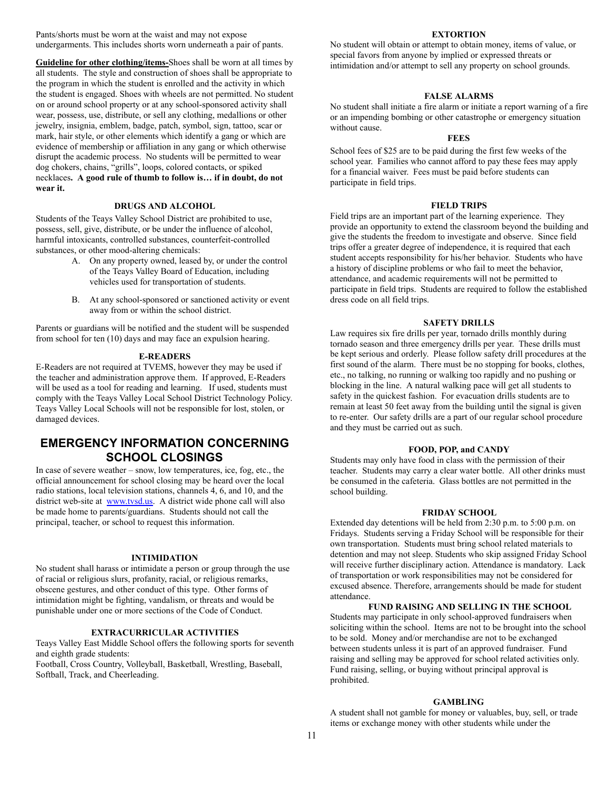Pants/shorts must be worn at the waist and may not expose undergarments. This includes shorts worn underneath a pair of pants.

**Guideline for other clothing/items-** Shoes shall be worn at all times by all students. The style and construction of shoes shall be appropriate to the program in which the student is enrolled and the activity in which the student is engaged. Shoes with wheels are not permitted. No student on or around school property or at any school-sponsored activity shall wear, possess, use, distribute, or sell any clothing, medallions or other jewelry, insignia, emblem, badge, patch, symbol, sign, tattoo, scar or mark, hair style, or other elements which identify a gang or which are evidence of membership or affiliation in any gang or which otherwise disrupt the academic process. No students will be permitted to wear dog chokers, chains, "grills", loops, colored contacts, or spiked necklaces **. A good rule of thumb to follow is… if in doubt, do not wear it.** 

# **DRUGS AND ALCOHOL**

Students of the Teays Valley School District are prohibited to use, possess, sell, give, distribute, or be under the influence of alcohol, harmful intoxicants, controlled substances, counterfeit-controlled substances, or other mood-altering chemicals:

- A. On any property owned, leased by, or under the control of the Teays Valley Board of Education, including vehicles used for transportation of students.
- B. At any school-sponsored or sanctioned activity or event away from or within the school district.

Parents or guardians will be notified and the student will be suspended from school for ten (10) days and may face an expulsion hearing.

#### **E-READERS**

E-Readers are not required at TVEMS, however they may be used if the teacher and administration approve them. If approved, E-Readers will be used as a tool for reading and learning. If used, students must comply with the Teays Valley Local School District Technology Policy. Teays Valley Local Schools will not be responsible for lost, stolen, or damaged devices.

# **EMERGENCY INFORMATION CONCERNING SCHOOL CLOSINGS**

In case of severe weather – snow, low temperatures, ice, fog, etc., the official announcement for school closing may be heard over the local radio stations, local television stations, channels 4, 6, and 10, and the district web-site at www.tvsd.us. A district wide phone call will also be made home to parents/guardians. Students should not call the principal, teacher, or school to request this information.

# **INTIMIDATION**

No student shall harass or intimidate a person or group through the use of racial or religious slurs, profanity, racial, or religious remarks, obscene gestures, and other conduct of this type. Other forms of intimidation might be fighting, vandalism, or threats and would be punishable under one or more sections of the Code of Conduct.

# **EXTRACURRICULAR ACTIVITIES**

Teays Valley East Middle School offers the following sports for seventh and eighth grade students:

Football, Cross Country, Volleyball, Basketball, Wrestling, Baseball, Softball, Track, and Cheerleading.

#### **EXTORTION**

No student will obtain or attempt to obtain money, items of value, or special favors from anyone by implied or expressed threats or intimidation and/or attempt to sell any property on school grounds.

# **FALSE ALARMS**

No student shall initiate a fire alarm or initiate a report warning of a fire or an impending bombing or other catastrophe or emergency situation without cause.

# **FEES**

School fees of \$25 are to be paid during the first few weeks of the school year. Families who cannot afford to pay these fees may apply for a financial waiver. Fees must be paid before students can participate in field trips.

#### **FIELD TRIPS**

Field trips are an important part of the learning experience. They provide an opportunity to extend the classroom beyond the building and give the students the freedom to investigate and observe. Since field trips offer a greater degree of independence, it is required that each student accepts responsibility for his/her behavior. Students who have a history of discipline problems or who fail to meet the behavior, attendance, and academic requirements will not be permitted to participate in field trips. Students are required to follow the established dress code on all field trips.

#### **SAFETY DRILLS**

Law requires six fire drills per year, tornado drills monthly during tornado season and three emergency drills per year. These drills must be kept serious and orderly. Please follow safety drill procedures at the first sound of the alarm. There must be no stopping for books, clothes, etc., no talking, no running or walking too rapidly and no pushing or blocking in the line. A natural walking pace will get all students to safety in the quickest fashion. For evacuation drills students are to remain at least 50 feet away from the building until the signal is given to re-enter. Our safety drills are a part of our regular school procedure and they must be carried out as such.

#### **FOOD, POP, and CANDY**

Students may only have food in class with the permission of their teacher. Students may carry a clear water bottle. All other drinks must be consumed in the cafeteria. Glass bottles are not permitted in the school building.

#### **FRIDAY SCHOOL**

Extended day detentions will be held from 2:30 p.m. to 5:00 p.m. on Fridays. Students serving a Friday School will be responsible for their own transportation. Students must bring school related materials to detention and may not sleep. Students who skip assigned Friday School will receive further disciplinary action. Attendance is mandatory. Lack of transportation or work responsibilities may not be considered for excused absence. Therefore, arrangements should be made for student attendance.

# **FUND RAISING AND SELLING IN THE SCHOOL**

Students may participate in only school-approved fundraisers when soliciting within the school. Items are not to be brought into the school to be sold. Money and/or merchandise are not to be exchanged between students unless it is part of an approved fundraiser. Fund raising and selling may be approved for school related activities only. Fund raising, selling, or buying without principal approval is prohibited.

#### **GAMBLING**

A student shall not gamble for money or valuables, buy, sell, or trade items or exchange money with other students while under the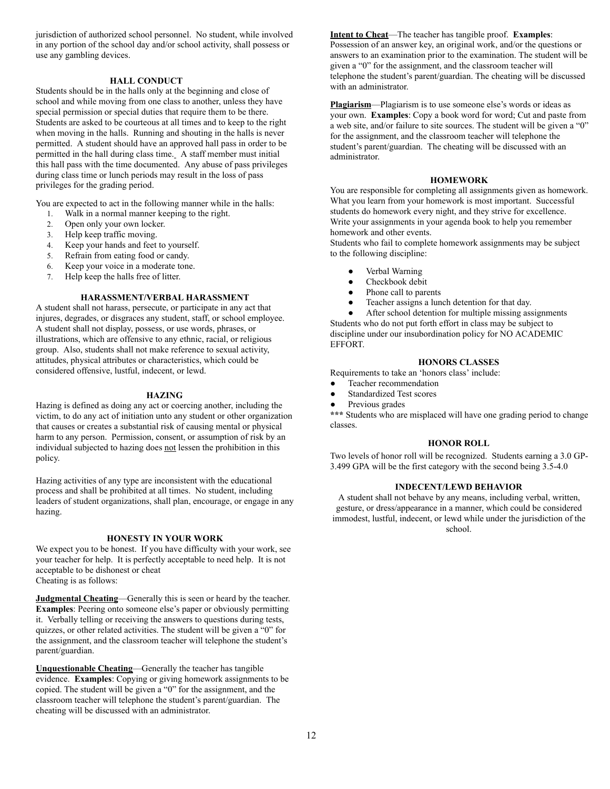jurisdiction of authorized school personnel. No student, while involved in any portion of the school day and/or school activity, shall possess or use any gambling devices.

#### **HALL CONDUCT**

Students should be in the halls only at the beginning and close of school and while moving from one class to another, unless they have special permission or special duties that require them to be there. Students are asked to be courteous at all times and to keep to the right when moving in the halls. Running and shouting in the halls is never permitted. A student should have an approved hall pass in order to be permitted in the hall during class time. A staff member must initial this hall pass with the time documented. Any abuse of pass privileges during class time or lunch periods may result in the loss of pass privileges for the grading period.

You are expected to act in the following manner while in the halls:

- 1. Walk in a normal manner keeping to the right.
- 2. Open only your own locker.
- 3. Help keep traffic moving.
- 4. Keep your hands and feet to yourself.
- 5. Refrain from eating food or candy.
- 6. Keep your voice in a moderate tone.
- 7. Help keep the halls free of litter.

#### **HARASSMENT/VERBAL HARASSMENT**

A student shall not harass, persecute, or participate in any act that injures, degrades, or disgraces any student, staff, or school employee. A student shall not display, possess, or use words, phrases, or illustrations, which are offensive to any ethnic, racial, or religious group. Also, students shall not make reference to sexual activity, attitudes, physical attributes or characteristics, which could be considered offensive, lustful, indecent, or lewd.

#### **HAZING**

Hazing is defined as doing any act or coercing another, including the victim, to do any act of initiation unto any student or other organization that causes or creates a substantial risk of causing mental or physical harm to any person. Permission, consent, or assumption of risk by an individual subjected to hazing does not lessen the prohibition in this policy.

Hazing activities of any type are inconsistent with the educational process and shall be prohibited at all times. No student, including leaders of student organizations, shall plan, encourage, or engage in any hazing.

#### **HONESTY IN YOUR WORK**

We expect you to be honest. If you have difficulty with your work, see your teacher for help. It is perfectly acceptable to need help. It is not acceptable to be dishonest or cheat

Cheating is as follows:

**Judgmental Cheating**—Generally this is seen or heard by the teacher. **Examples:** Peering onto someone else's paper or obviously permitting it. Verbally telling or receiving the answers to questions during tests, quizzes, or other related activities. The student will be given a "0" for the assignment, and the classroom teacher will telephone the student's parent/guardian.

**Unquestionable Cheating** —Generally the teacher has tangible evidence. **Examples**: Copying or giving homework assignments to be copied. The student will be given a "0" for the assignment, and the classroom teacher will telephone the student's parent/guardian. The cheating will be discussed with an administrator.

**Intent to Cheat—The teacher has tangible proof. Examples:** Possession of an answer key, an original work, and/or the questions or answers to an examination prior to the examination. The student will be given a "0" for the assignment, and the classroom teacher will telephone the student's parent/guardian. The cheating will be discussed with an administrator.

**Plagiarism** —Plagiarism is to use someone else's words or ideas as your own. **Examples:** Copy a book word for word; Cut and paste from a web site, and/or failure to site sources. The student will be given a "0" for the assignment, and the classroom teacher will telephone the student's parent/guardian. The cheating will be discussed with an administrator.

# **HOMEWORK**

You are responsible for completing all assignments given as homework. What you learn from your homework is most important. Successful students do homework every night, and they strive for excellence. Write your assignments in your agenda book to help you remember homework and other events.

Students who fail to complete homework assignments may be subject to the following discipline:

- Verbal Warning
- Checkbook debit
- Phone call to parents
- Teacher assigns a lunch detention for that day.

After school detention for multiple missing assignments Students who do not put forth effort in class may be subject to discipline under our insubordination policy for NO ACADEMIC EFFORT.

#### **HONORS CLASSES**

Requirements to take an 'honors class' include:

- Teacher recommendation
- Standardized Test scores
- Previous grades

**\*\*\*** Students who are misplaced will have one grading period to change classes.

# **HONOR ROLL**

Two levels of honor roll will be recognized. Students earning a 3.0 GP-3.499 GPA will be the first category with the second being 3.5-4.0

# **INDECENT/LEWD BEHAVIOR**

A student shall not behave by any means, including verbal, written, gesture, or dress/appearance in a manner, which could be considered immodest, lustful, indecent, or lewd while under the jurisdiction of the school.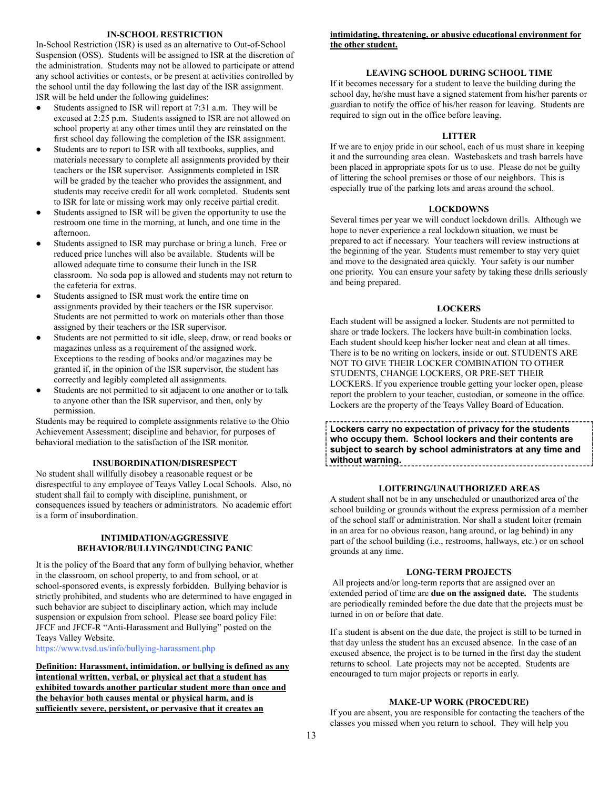#### **IN-SCHOOL RESTRICTION**

In-School Restriction (ISR) is used as an alternative to Out-of-School Suspension (OSS). Students will be assigned to ISR at the discretion of the administration. Students may not be allowed to participate or attend any school activities or contests, or be present at activities controlled by the school until the day following the last day of the ISR assignment. ISR will be held under the following guidelines:

- Students assigned to ISR will report at 7:31 a.m. They will be excused at 2:25 p.m. Students assigned to ISR are not allowed on school property at any other times until they are reinstated on the first school day following the completion of the ISR assignment.
- Students are to report to ISR with all textbooks, supplies, and materials necessary to complete all assignments provided by their teachers or the ISR supervisor. Assignments completed in ISR will be graded by the teacher who provides the assignment, and students may receive credit for all work completed. Students sent to ISR for late or missing work may only receive partial credit.
- Students assigned to ISR will be given the opportunity to use the restroom one time in the morning, at lunch, and one time in the afternoon.
- Students assigned to ISR may purchase or bring a lunch. Free or reduced price lunches will also be available. Students will be allowed adequate time to consume their lunch in the ISR classroom. No soda pop is allowed and students may not return to the cafeteria for extras.
- Students assigned to ISR must work the entire time on assignments provided by their teachers or the ISR supervisor. Students are not permitted to work on materials other than those assigned by their teachers or the ISR supervisor.
- Students are not permitted to sit idle, sleep, draw, or read books or magazines unless as a requirement of the assigned work. Exceptions to the reading of books and/or magazines may be granted if, in the opinion of the ISR supervisor, the student has correctly and legibly completed all assignments.
- Students are not permitted to sit adjacent to one another or to talk to anyone other than the ISR supervisor, and then, only by permission.

Students may be required to complete assignments relative to the Ohio Achievement Assessment; discipline and behavior, for purposes of behavioral mediation to the satisfaction of the ISR monitor.

#### **INSUBORDINATION/DISRESPECT**

No student shall willfully disobey a reasonable request or be disrespectful to any employee of Teays Valley Local Schools. Also, no student shall fail to comply with discipline, punishment, or consequences issued by teachers or administrators. No academic effort is a form of insubordination.

# **INTIMIDATION/AGGRESSIVE BEHAVIOR/BULLYING/INDUCING PANIC**

It is the policy of the Board that any form of bullying behavior, whether in the classroom, on school property, to and from school, or at school-sponsored events, is expressly forbidden. Bullying behavior is strictly prohibited, and students who are determined to have engaged in such behavior are subject to disciplinary action, which may include suspension or expulsion from school. Please see board policy File: JFCF and JFCF-R "Anti-Harassment and Bullying" posted on the Teays Valley Website.

https://www.tvsd.us/info/bullying-harassment.php

**Definition: Harassment, intimidation, or bullying is defined as any intentional written, verbal, or physical act that a student has exhibited towards another particular student more than once and the behavior both causes mental or physical harm, and is sufficiently severe, persistent, or pervasive that it creates an** 

# **intimidating, threatening, or abusive educational environment for the other student.**

# **LEAVING SCHOOL DURING SCHOOL TIME**

If it becomes necessary for a student to leave the building during the school day, he/she must have a signed statement from his/her parents or guardian to notify the office of his/her reason for leaving. Students are required to sign out in the office before leaving.

#### **LITTER**

If we are to enjoy pride in our school, each of us must share in keeping it and the surrounding area clean. Wastebaskets and trash barrels have been placed in appropriate spots for us to use. Please do not be guilty of littering the school premises or those of our neighbors. This is especially true of the parking lots and areas around the school.

# **LOCKDOWNS**

Several times per year we will conduct lockdown drills. Although we hope to never experience a real lockdown situation, we must be prepared to act if necessary. Your teachers will review instructions at the beginning of the year. Students must remember to stay very quiet and move to the designated area quickly. Your safety is our number one priority. You can ensure your safety by taking these drills seriously and being prepared.

#### **LOCKERS**

Each student will be assigned a locker. Students are not permitted to share or trade lockers. The lockers have built-in combination locks. Each student should keep his/her locker neat and clean at all times. There is to be no writing on lockers, inside or out. STUDENTS ARE NOT TO GIVE THEIR LOCKER COMBINATION TO OTHER STUDENTS, CHANGE LOCKERS, OR PRE-SET THEIR LOCKERS. If you experience trouble getting your locker open, please report the problem to your teacher, custodian, or someone in the office. Lockers are the property of the Teays Valley Board of Education.

**Lockers carry no expectation of privacy for the students who occupy them. School lockers and their contents are subject to search by school administrators at any time and without warning.** 

# **LOITERING/UNAUTHORIZED AREAS**

A student shall not be in any unscheduled or unauthorized area of the school building or grounds without the express permission of a member of the school staff or administration. Nor shall a student loiter (remain in an area for no obvious reason, hang around, or lag behind) in any part of the school building (i.e., restrooms, hallways, etc.) or on school grounds at any time.

# **LONG-TERM PROJECTS**

 All projects and/or long-term reports that are assigned over an extended period of time are **due on the assigned date.** The students are periodically reminded before the due date that the projects must be turned in on or before that date.

If a student is absent on the due date, the project is still to be turned in that day unless the student has an excused absence. In the case of an excused absence, the project is to be turned in the first day the student returns to school. Late projects may not be accepted. Students are encouraged to turn major projects or reports in early.

# **MAKE-UP WORK (PROCEDURE)**

If you are absent, you are responsible for contacting the teachers of the classes you missed when you return to school. They will help you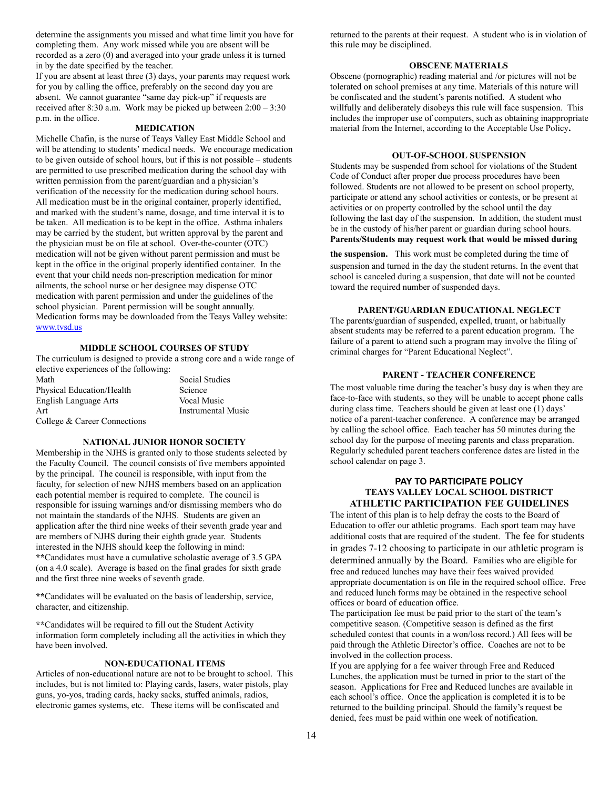determine the assignments you missed and what time limit you have for completing them. Any work missed while you are absent will be recorded as a zero (0) and averaged into your grade unless it is turned in by the date specified by the teacher.

If you are absent at least three (3) days, your parents may request work for you by calling the office, preferably on the second day you are absent. We cannot guarantee "same day pick-up" if requests are received after 8:30 a.m. Work may be picked up between 2:00 – 3:30 p.m. in the office.

#### **MEDICATION**

Michelle Chafin, is the nurse of Teays Valley East Middle School and will be attending to students' medical needs. We encourage medication to be given outside of school hours, but if this is not possible – students are permitted to use prescribed medication during the school day with written permission from the parent/guardian and a physician's verification of the necessity for the medication during school hours. All medication must be in the original container, properly identified, and marked with the student's name, dosage, and time interval it is to be taken. All medication is to be kept in the office. Asthma inhalers may be carried by the student, but written approval by the parent and the physician must be on file at school. Over-the-counter (OTC) medication will not be given without parent permission and must be kept in the office in the original properly identified container. In the event that your child needs non-prescription medication for minor ailments, the school nurse or her designee may dispense OTC medication with parent permission and under the guidelines of the school physician. Parent permission will be sought annually. Medication forms may be downloaded from the Teays Valley website: www.tvsd.us

#### **MIDDLE SCHOOL COURSES OF STUDY**

The curriculum is designed to provide a strong core and a wide range of elective experiences of the following:

Math Social Studies Physical Education/Health Science English Language Arts Vocal Music Art Instrumental Music College & Career Connections

#### **NATIONAL JUNIOR HONOR SOCIETY**

Membership in the NJHS is granted only to those students selected by the Faculty Council. The council consists of five members appointed by the principal. The council is responsible, with input from the faculty, for selection of new NJHS members based on an application each potential member is required to complete. The council is responsible for issuing warnings and/or dismissing members who do not maintain the standards of the NJHS. Students are given an application after the third nine weeks of their seventh grade year and are members of NJHS during their eighth grade year. Students interested in the NJHS should keep the following in mind: **\*\*** Candidates must have a cumulative scholastic average of 3.5 GPA (on a 4.0 scale). Average is based on the final grades for sixth grade and the first three nine weeks of seventh grade.

**\*\*** Candidates will be evaluated on the basis of leadership, service, character, and citizenship.

**\*\*** Candidates will be required to fill out the Student Activity information form completely including all the activities in which they have been involved.

### **NON-EDUCATIONAL ITEMS**

Articles of non-educational nature are not to be brought to school. This includes, but is not limited to: Playing cards, lasers, water pistols, play guns, yo-yos, trading cards, hacky sacks, stuffed animals, radios, electronic games systems, etc. These items will be confiscated and

returned to the parents at their request. A student who is in violation of this rule may be disciplined.

#### **OBSCENE MATERIALS**

Obscene (pornographic) reading material and /or pictures will not be tolerated on school premises at any time. Materials of this nature will be confiscated and the student's parents notified. A student who willfully and deliberately disobeys this rule will face suspension. This includes the improper use of computers, such as obtaining inappropriate material from the Internet, according to the Acceptable Use Policy **.** 

#### **OUT-OF-SCHOOL SUSPENSION**

Students may be suspended from school for violations of the Student Code of Conduct after proper due process procedures have been followed. Students are not allowed to be present on school property, participate or attend any school activities or contests, or be present at activities or on property controlled by the school until the day following the last day of the suspension. In addition, the student must be in the custody of his/her parent or guardian during school hours. **Parents/Students may request work that would be missed during** 

**the suspension.** This work must be completed during the time of suspension and turned in the day the student returns. In the event that school is canceled during a suspension, that date will not be counted toward the required number of suspended days.

#### **PARENT/GUARDIAN EDUCATIONAL NEGLECT**

The parents/guardian of suspended, expelled, truant, or habitually absent students may be referred to a parent education program. The failure of a parent to attend such a program may involve the filing of criminal charges for "Parent Educational Neglect".

#### **PARENT - TEACHER CONFERENCE**

The most valuable time during the teacher's busy day is when they are face-to-face with students, so they will be unable to accept phone calls during class time. Teachers should be given at least one (1) days' notice of a parent-teacher conference. A conference may be arranged by calling the school office. Each teacher has 50 minutes during the school day for the purpose of meeting parents and class preparation. Regularly scheduled parent teachers conference dates are listed in the school calendar on page 3.

# **PAY TO PARTICIPATE POLICY TEAYS VALLEY LOCAL SCHOOL DISTRICT ATHLETIC PARTICIPATION FEE GUIDELINES**

The intent of this plan is to help defray the costs to the Board of Education to offer our athletic programs. Each sport team may have additional costs that are required of the student. The fee for students in grades 7-12 choosing to participate in our athletic program is determined annually by the Board. Families who are eligible for free and reduced lunches may have their fees waived provided appropriate documentation is on file in the required school office. Free and reduced lunch forms may be obtained in the respective school offices or board of education office.

The participation fee must be paid prior to the start of the team's competitive season. (Competitive season is defined as the first scheduled contest that counts in a won/loss record.) All fees will be paid through the Athletic Director's office. Coaches are not to be involved in the collection process.

If you are applying for a fee waiver through Free and Reduced Lunches, the application must be turned in prior to the start of the season. Applications for Free and Reduced lunches are available in each school's office. Once the application is completed it is to be returned to the building principal. Should the family's request be denied, fees must be paid within one week of notification.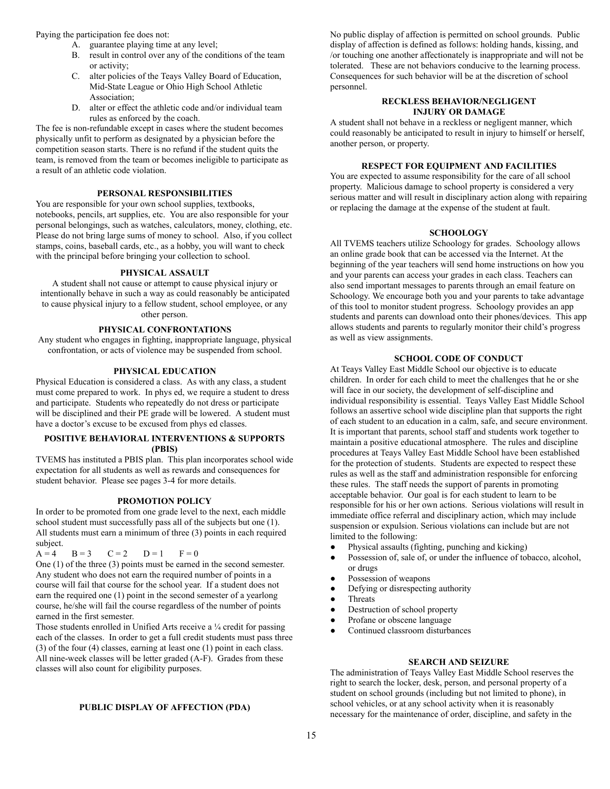Paying the participation fee does not:

- A. guarantee playing time at any level;
- B. result in control over any of the conditions of the team or activity;
- C. alter policies of the Teays Valley Board of Education, Mid-State League or Ohio High School Athletic Association;
- D. alter or effect the athletic code and/or individual team rules as enforced by the coach.

The fee is non-refundable except in cases where the student becomes physically unfit to perform as designated by a physician before the competition season starts. There is no refund if the student quits the team, is removed from the team or becomes ineligible to participate as a result of an athletic code violation.

### **PERSONAL RESPONSIBILITIES**

You are responsible for your own school supplies, textbooks, notebooks, pencils, art supplies, etc. You are also responsible for your personal belongings, such as watches, calculators, money, clothing, etc. Please do not bring large sums of money to school. Also, if you collect stamps, coins, baseball cards, etc., as a hobby, you will want to check with the principal before bringing your collection to school.

# **PHYSICAL ASSAULT**

A student shall not cause or attempt to cause physical injury or intentionally behave in such a way as could reasonably be anticipated to cause physical injury to a fellow student, school employee, or any other person.

# **PHYSICAL CONFRONTATIONS**

Any student who engages in fighting, inappropriate language, physical confrontation, or acts of violence may be suspended from school.

#### **PHYSICAL EDUCATION**

Physical Education is considered a class. As with any class, a student must come prepared to work. In phys ed, we require a student to dress and participate. Students who repeatedly do not dress or participate will be disciplined and their PE grade will be lowered. A student must have a doctor's excuse to be excused from phys ed classes.

# **POSITIVE BEHAVIORAL INTERVENTIONS & SUPPORTS (PBIS)**

TVEMS has instituted a PBIS plan. This plan incorporates school wide expectation for all students as well as rewards and consequences for student behavior. Please see pages 3-4 for more details.

#### **PROMOTION POLICY**

In order to be promoted from one grade level to the next, each middle school student must successfully pass all of the subjects but one (1). All students must earn a minimum of three (3) points in each required subject.<br> $A = 4$ 

 $B = 3$   $C = 2$   $D = 1$   $F = 0$ 

One (1) of the three (3) points must be earned in the second semester. Any student who does not earn the required number of points in a course will fail that course for the school year. If a student does not earn the required one (1) point in the second semester of a yearlong course, he/she will fail the course regardless of the number of points earned in the first semester.

Those students enrolled in Unified Arts receive a ¼ credit for passing each of the classes. In order to get a full credit students must pass three (3) of the four (4) classes, earning at least one (1) point in each class. All nine-week classes will be letter graded (A-F). Grades from these classes will also count for eligibility purposes.

#### **PUBLIC DISPLAY OF AFFECTION (PDA)**

No public display of affection is permitted on school grounds. Public display of affection is defined as follows: holding hands, kissing, and /or touching one another affectionately is inappropriate and will not be tolerated. These are not behaviors conducive to the learning process. Consequences for such behavior will be at the discretion of school personnel.

#### **RECKLESS BEHAVIOR/NEGLIGENT INJURY OR DAMAGE**

A student shall not behave in a reckless or negligent manner, which could reasonably be anticipated to result in injury to himself or herself, another person, or property.

#### **RESPECT FOR EQUIPMENT AND FACILITIES**

You are expected to assume responsibility for the care of all school property. Malicious damage to school property is considered a very serious matter and will result in disciplinary action along with repairing or replacing the damage at the expense of the student at fault.

#### **SCHOOLOGY**

All TVEMS teachers utilize Schoology for grades. Schoology allows an online grade book that can be accessed via the Internet. At the beginning of the year teachers will send home instructions on how you and your parents can access your grades in each class. Teachers can also send important messages to parents through an email feature on Schoology. We encourage both you and your parents to take advantage of this tool to monitor student progress. Schoology provides an app students and parents can download onto their phones/devices. This app allows students and parents to regularly monitor their child's progress as well as view assignments.

# **SCHOOL CODE OF CONDUCT**

At Teays Valley East Middle School our objective is to educate children. In order for each child to meet the challenges that he or she will face in our society, the development of self-discipline and individual responsibility is essential. Teays Valley East Middle School follows an assertive school wide discipline plan that supports the right of each student to an education in a calm, safe, and secure environment. It is important that parents, school staff and students work together to maintain a positive educational atmosphere. The rules and discipline procedures at Teays Valley East Middle School have been established for the protection of students. Students are expected to respect these rules as well as the staff and administration responsible for enforcing these rules. The staff needs the support of parents in promoting acceptable behavior. Our goal is for each student to learn to be responsible for his or her own actions. Serious violations will result in immediate office referral and disciplinary action, which may include suspension or expulsion. Serious violations can include but are not limited to the following:

- Physical assaults (fighting, punching and kicking)
- Possession of, sale of, or under the influence of tobacco, alcohol, or drugs
- Possession of weapons
- Defying or disrespecting authority
- **Threats**
- Destruction of school property
- Profane or obscene language
- Continued classroom disturbances

#### **SEARCH AND SEIZURE**

The administration of Teays Valley East Middle School reserves the right to search the locker, desk, person, and personal property of a student on school grounds (including but not limited to phone), in school vehicles, or at any school activity when it is reasonably necessary for the maintenance of order, discipline, and safety in the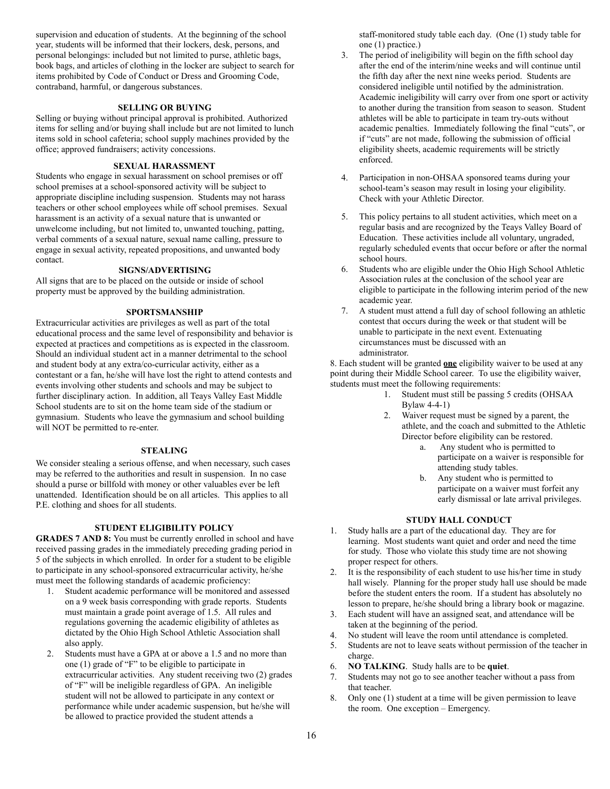supervision and education of students. At the beginning of the school year, students will be informed that their lockers, desk, persons, and personal belongings: included but not limited to purse, athletic bags, book bags, and articles of clothing in the locker are subject to search for items prohibited by Code of Conduct or Dress and Grooming Code, contraband, harmful, or dangerous substances.

# **SELLING OR BUYING**

Selling or buying without principal approval is prohibited. Authorized items for selling and/or buying shall include but are not limited to lunch items sold in school cafeteria; school supply machines provided by the office; approved fundraisers; activity concessions.

## **SEXUAL HARASSMENT**

Students who engage in sexual harassment on school premises or off school premises at a school-sponsored activity will be subject to appropriate discipline including suspension. Students may not harass teachers or other school employees while off school premises. Sexual harassment is an activity of a sexual nature that is unwanted or unwelcome including, but not limited to, unwanted touching, patting, verbal comments of a sexual nature, sexual name calling, pressure to engage in sexual activity, repeated propositions, and unwanted body contact.

#### **SIGNS/ADVERTISING**

All signs that are to be placed on the outside or inside of school property must be approved by the building administration.

#### **SPORTSMANSHIP**

Extracurricular activities are privileges as well as part of the total educational process and the same level of responsibility and behavior is expected at practices and competitions as is expected in the classroom. Should an individual student act in a manner detrimental to the school and student body at any extra/co-curricular activity, either as a contestant or a fan, he/she will have lost the right to attend contests and events involving other students and schools and may be subject to further disciplinary action. In addition, all Teays Valley East Middle School students are to sit on the home team side of the stadium or gymnasium. Students who leave the gymnasium and school building will NOT be permitted to re-enter.

# **STEALING**

We consider stealing a serious offense, and when necessary, such cases may be referred to the authorities and result in suspension. In no case should a purse or billfold with money or other valuables ever be left unattended. Identification should be on all articles. This applies to all P.E. clothing and shoes for all students.

### **STUDENT ELIGIBILITY POLICY**

**GRADES 7 AND 8:** You must be currently enrolled in school and have received passing grades in the immediately preceding grading period in 5 of the subjects in which enrolled. In order for a student to be eligible to participate in any school-sponsored extracurricular activity, he/she must meet the following standards of academic proficiency:

- 1. Student academic performance will be monitored and assessed on a 9 week basis corresponding with grade reports. Students must maintain a grade point average of 1.5. All rules and regulations governing the academic eligibility of athletes as dictated by the Ohio High School Athletic Association shall also apply.
- 2. Students must have a GPA at or above a 1.5 and no more than one (1) grade of "F" to be eligible to participate in extracurricular activities. Any student receiving two (2) grades of "F" will be ineligible regardless of GPA. An ineligible student will not be allowed to participate in any context or performance while under academic suspension, but he/she will be allowed to practice provided the student attends a

staff-monitored study table each day. (One (1) study table for one (1) practice.)

- 3. The period of ineligibility will begin on the fifth school day after the end of the interim/nine weeks and will continue until the fifth day after the next nine weeks period. Students are considered ineligible until notified by the administration. Academic ineligibility will carry over from one sport or activity to another during the transition from season to season. Student athletes will be able to participate in team try-outs without academic penalties. Immediately following the final "cuts", or if "cuts" are not made, following the submission of official eligibility sheets, academic requirements will be strictly enforced.
- 4. Participation in non-OHSAA sponsored teams during your school-team's season may result in losing your eligibility. Check with your Athletic Director.
- 5. This policy pertains to all student activities, which meet on a regular basis and are recognized by the Teays Valley Board of Education. These activities include all voluntary, ungraded, regularly scheduled events that occur before or after the normal school hours.
- 6. Students who are eligible under the Ohio High School Athletic Association rules at the conclusion of the school year are eligible to participate in the following interim period of the new academic year.
- 7. A student must attend a full day of school following an athletic contest that occurs during the week or that student will be unable to participate in the next event. Extenuating circumstances must be discussed with an administrator.

8. Each student will be granted **one** eligibility waiver to be used at any point during their Middle School career. To use the eligibility waiver, students must meet the following requirements:

- 1. Student must still be passing 5 credits (OHSAA Bylaw 4-4-1)
- 2. Waiver request must be signed by a parent, the athlete, and the coach and submitted to the Athletic Director before eligibility can be restored.
	- a. Any student who is permitted to participate on a waiver is responsible for attending study tables.
	- b. Any student who is permitted to participate on a waiver must forfeit any early dismissal or late arrival privileges.

# **STUDY HALL CONDUCT**

- 1. Study halls are a part of the educational day. They are for learning. Most students want quiet and order and need the time for study. Those who violate this study time are not showing proper respect for others.
- 2. It is the responsibility of each student to use his/her time in study hall wisely. Planning for the proper study hall use should be made before the student enters the room. If a student has absolutely no lesson to prepare, he/she should bring a library book or magazine.
- 3. Each student will have an assigned seat, and attendance will be taken at the beginning of the period.
- 4. No student will leave the room until attendance is completed.
- 5. Students are not to leave seats without permission of the teacher in charge.
- 6. **NO TALKING** . Study halls are to be **quiet** .
- 7. Students may not go to see another teacher without a pass from that teacher.
- 8. Only one (1) student at a time will be given permission to leave the room. One exception – Emergency.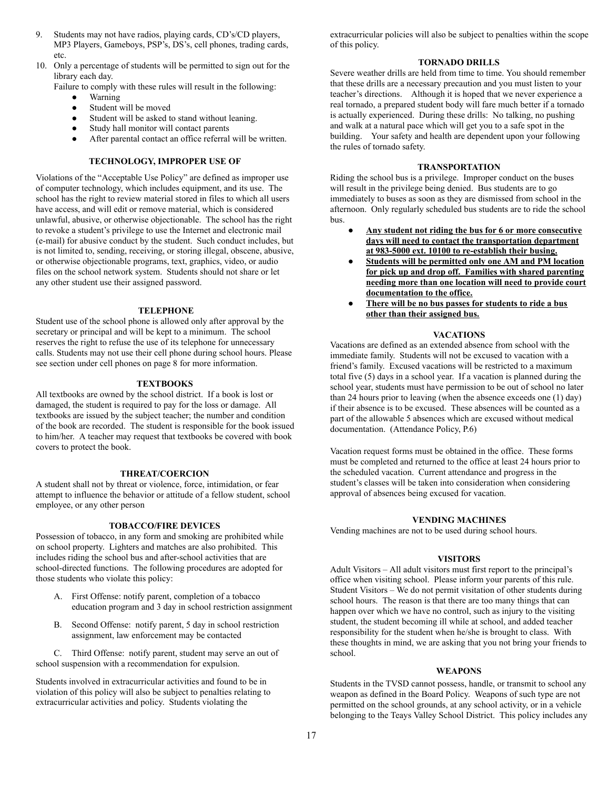- 9. Students may not have radios, playing cards, CD's/CD players, MP3 Players, Gameboys, PSP's, DS's, cell phones, trading cards, etc.
- 10. Only a percentage of students will be permitted to sign out for the library each day.

Failure to comply with these rules will result in the following:

- Warning
- Student will be moved
- Student will be asked to stand without leaning.
- Study hall monitor will contact parents
- After parental contact an office referral will be written.

# **TECHNOLOGY, IMPROPER USE OF**

Violations of the "Acceptable Use Policy" are defined as improper use of computer technology, which includes equipment, and its use. The school has the right to review material stored in files to which all users have access, and will edit or remove material, which is considered unlawful, abusive, or otherwise objectionable. The school has the right to revoke a student's privilege to use the Internet and electronic mail (e-mail) for abusive conduct by the student. Such conduct includes, but is not limited to, sending, receiving, or storing illegal, obscene, abusive, or otherwise objectionable programs, text, graphics, video, or audio files on the school network system. Students should not share or let any other student use their assigned password.

#### **TELEPHONE**

Student use of the school phone is allowed only after approval by the secretary or principal and will be kept to a minimum. The school reserves the right to refuse the use of its telephone for unnecessary calls. Students may not use their cell phone during school hours. Please see section under cell phones on page 8 for more information.

#### **TEXTBOOKS**

All textbooks are owned by the school district. If a book is lost or damaged, the student is required to pay for the loss or damage. All textbooks are issued by the subject teacher; the number and condition of the book are recorded. The student is responsible for the book issued to him/her. A teacher may request that textbooks be covered with book covers to protect the book.

#### **THREAT/COERCION**

A student shall not by threat or violence, force, intimidation, or fear attempt to influence the behavior or attitude of a fellow student, school employee, or any other person

#### **TOBACCO/FIRE DEVICES**

Possession of tobacco, in any form and smoking are prohibited while on school property. Lighters and matches are also prohibited. This includes riding the school bus and after-school activities that are school-directed functions. The following procedures are adopted for those students who violate this policy:

- A. First Offense: notify parent, completion of a tobacco education program and 3 day in school restriction assignment
- B. Second Offense: notify parent, 5 day in school restriction assignment, law enforcement may be contacted

 C. Third Offense: notify parent, student may serve an out of school suspension with a recommendation for expulsion.

Students involved in extracurricular activities and found to be in violation of this policy will also be subject to penalties relating to extracurricular activities and policy. Students violating the

extracurricular policies will also be subject to penalties within the scope of this policy.

#### **TORNADO DRILLS**

Severe weather drills are held from time to time. You should remember that these drills are a necessary precaution and you must listen to your teacher's directions. Although it is hoped that we never experience a real tornado, a prepared student body will fare much better if a tornado is actually experienced. During these drills: No talking, no pushing and walk at a natural pace which will get you to a safe spot in the building. Your safety and health are dependent upon your following the rules of tornado safety.

#### **TRANSPORTATION**

Riding the school bus is a privilege. Improper conduct on the buses will result in the privilege being denied. Bus students are to go immediately to buses as soon as they are dismissed from school in the afternoon. Only regularly scheduled bus students are to ride the school bus.

- **● Any student not riding the bus for 6 or more consecutive days will need to contact the transportation department at 983-5000 ext. 10100 to re-establish their busing.**
- **<u>Students will be permitted only one AM and PM location</u> for pick up and drop off. Families with shared parenting needing more than one location will need to provide court documentation to the office.**
- **● There will be no bus passes for students to ride a bus other than their assigned bus.**

#### **VACATIONS**

Vacations are defined as an extended absence from school with the immediate family. Students will not be excused to vacation with a friend's family. Excused vacations will be restricted to a maximum total five (5) days in a school year. If a vacation is planned during the school year, students must have permission to be out of school no later than 24 hours prior to leaving (when the absence exceeds one (1) day) if their absence is to be excused. These absences will be counted as a part of the allowable 5 absences which are excused without medical documentation. (Attendance Policy, P.6)

Vacation request forms must be obtained in the office. These forms must be completed and returned to the office at least 24 hours prior to the scheduled vacation. Current attendance and progress in the student's classes will be taken into consideration when considering approval of absences being excused for vacation.

# **VENDING MACHINES**

Vending machines are not to be used during school hours.

#### **VISITORS**

Adult Visitors – All adult visitors must first report to the principal's office when visiting school. Please inform your parents of this rule. Student Visitors – We do not permit visitation of other students during school hours. The reason is that there are too many things that can happen over which we have no control, such as injury to the visiting student, the student becoming ill while at school, and added teacher responsibility for the student when he/she is brought to class. With these thoughts in mind, we are asking that you not bring your friends to school.

#### **WEAPONS**

Students in the TVSD cannot possess, handle, or transmit to school any weapon as defined in the Board Policy. Weapons of such type are not permitted on the school grounds, at any school activity, or in a vehicle belonging to the Teays Valley School District. This policy includes any